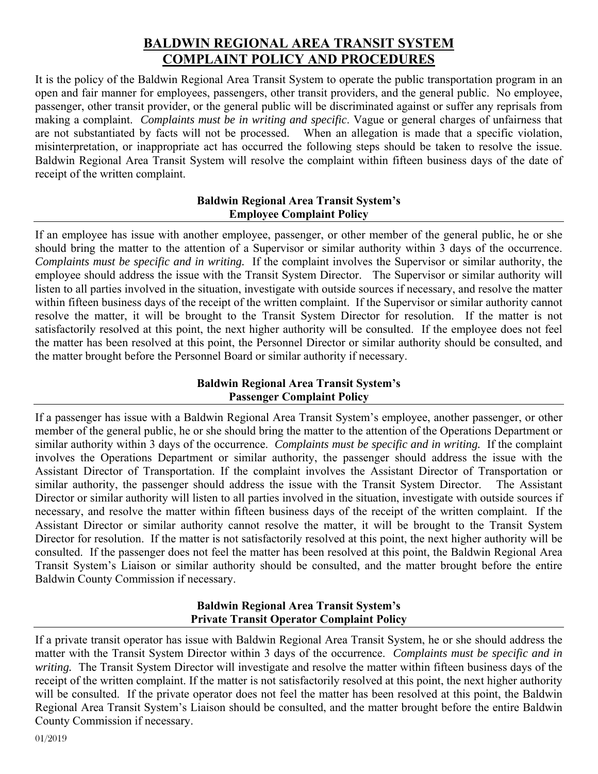## **BALDWIN REGIONAL AREA TRANSIT SYSTEM COMPLAINT POLICY AND PROCEDURES**

It is the policy of the Baldwin Regional Area Transit System to operate the public transportation program in an open and fair manner for employees, passengers, other transit providers, and the general public. No employee, passenger, other transit provider, or the general public will be discriminated against or suffer any reprisals from making a complaint. *Complaints must be in writing and specific*. Vague or general charges of unfairness that are not substantiated by facts will not be processed. When an allegation is made that a specific violation, misinterpretation, or inappropriate act has occurred the following steps should be taken to resolve the issue. Baldwin Regional Area Transit System will resolve the complaint within fifteen business days of the date of receipt of the written complaint.

### **Baldwin Regional Area Transit System's Employee Complaint Policy**

If an employee has issue with another employee, passenger, or other member of the general public, he or she should bring the matter to the attention of a Supervisor or similar authority within 3 days of the occurrence. *Complaints must be specific and in writing.* If the complaint involves the Supervisor or similar authority, the employee should address the issue with the Transit System Director. The Supervisor or similar authority will listen to all parties involved in the situation, investigate with outside sources if necessary, and resolve the matter within fifteen business days of the receipt of the written complaint. If the Supervisor or similar authority cannot resolve the matter, it will be brought to the Transit System Director for resolution. If the matter is not satisfactorily resolved at this point, the next higher authority will be consulted. If the employee does not feel the matter has been resolved at this point, the Personnel Director or similar authority should be consulted, and the matter brought before the Personnel Board or similar authority if necessary.

### **Baldwin Regional Area Transit System's Passenger Complaint Policy**

If a passenger has issue with a Baldwin Regional Area Transit System's employee, another passenger, or other member of the general public, he or she should bring the matter to the attention of the Operations Department or similar authority within 3 days of the occurrence. *Complaints must be specific and in writing.* If the complaint involves the Operations Department or similar authority, the passenger should address the issue with the Assistant Director of Transportation. If the complaint involves the Assistant Director of Transportation or similar authority, the passenger should address the issue with the Transit System Director. The Assistant Director or similar authority will listen to all parties involved in the situation, investigate with outside sources if necessary, and resolve the matter within fifteen business days of the receipt of the written complaint. If the Assistant Director or similar authority cannot resolve the matter, it will be brought to the Transit System Director for resolution. If the matter is not satisfactorily resolved at this point, the next higher authority will be consulted. If the passenger does not feel the matter has been resolved at this point, the Baldwin Regional Area Transit System's Liaison or similar authority should be consulted, and the matter brought before the entire Baldwin County Commission if necessary.

#### **Baldwin Regional Area Transit System's Private Transit Operator Complaint Policy**

If a private transit operator has issue with Baldwin Regional Area Transit System, he or she should address the matter with the Transit System Director within 3 days of the occurrence. *Complaints must be specific and in writing.* The Transit System Director will investigate and resolve the matter within fifteen business days of the receipt of the written complaint. If the matter is not satisfactorily resolved at this point, the next higher authority will be consulted. If the private operator does not feel the matter has been resolved at this point, the Baldwin Regional Area Transit System's Liaison should be consulted, and the matter brought before the entire Baldwin County Commission if necessary.